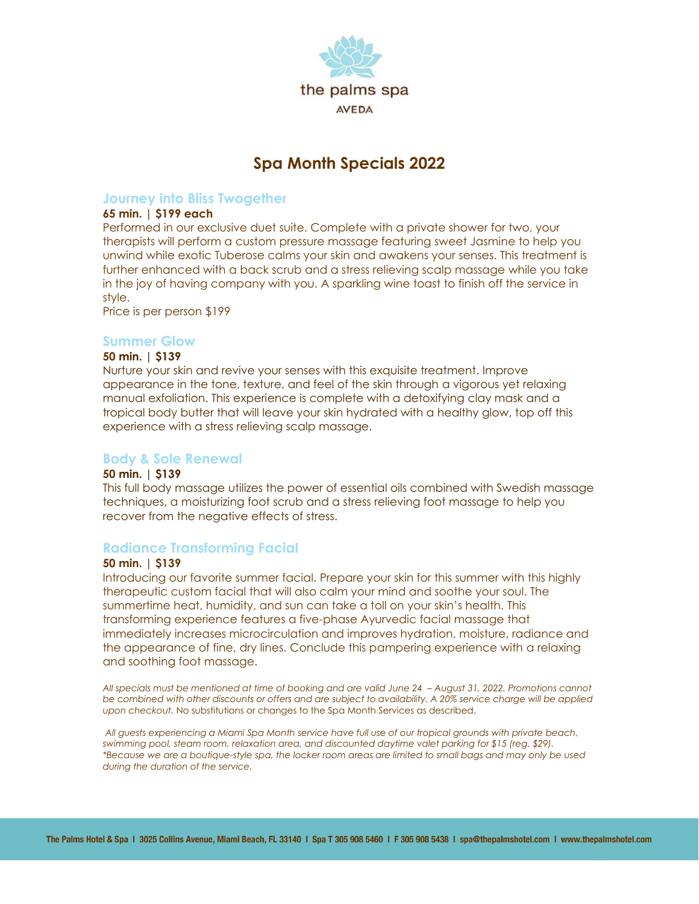

# **Spa Month Specials 2022**

# **Journey into Bliss Twogether**

# **65 min. | \$199 each**

Performed in our exclusive duet suite. Complete with a private shower for two, your therapists will perform a custom pressure massage featuring sweet Jasmine to help you unwind while exotic Tuberose calms your skin and awakens your senses. This treatment is further enhanced with a back scrub and a stress relieving scalp massage while you take in the joy of having company with you. A sparkling wine toast to finish off the service in style.

Price is per person \$199

#### **Summer Glow**

#### **50 min. | \$139**

Nurture your skin and revive your senses with this exquisite treatment. Improve appearance in the tone, texture, and feel of the skin through a vigorous yet relaxing manual exfoliation. This experience is complete with a detoxifying clay mask and a tropical body butter that will leave your skin hydrated with a healthy glow, top off this experience with a stress relieving scalp massage.

## **Body & Sole Renewal**

#### **50 min. | \$139**

This full body massage utilizes the power of essential oils combined with Swedish massage techniques, a moisturizing foot scrub and a stress relieving foot massage to help you recover from the negative effects of stress.

## **Radiance Transforming Facial**

## **50 min. | \$139**

Introducing our favorite summer facial. Prepare your skin for this summer with this highly therapeutic custom facial that will also calm your mind and soothe your soul. The summertime heat, humidity, and sun can take a toll on your skin's health. This transforming experience features a five-phase Ayurvedic facial massage that immediately increases microcirculation and improves hydration, moisture, radiance and the appearance of fine, dry lines. Conclude this pampering experience with a relaxing and soothing foot massage.

*All specials must be mentioned at time of booking and are valid June 24 – August 31, 2022. Promotions cannot be combined with other discounts or offers and are subject to availability. A 20% service charge will be applied upon checkout.* No substitutions or changes to the Spa Month Services as described.

*All guests experiencing a Miami Spa Month service have full use of our tropical grounds with private beach, swimming pool, steam room, relaxation area, and discounted daytime valet parking for \$15 (reg. \$29). \*Because we are a boutique-style spa, the locker room areas are limited to small bags and may only be used during the duration of the service.*